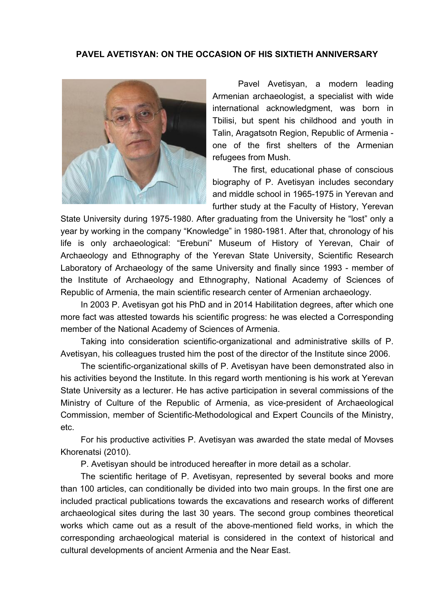## **PAVEL AVETISYAN: ON THE OCCASION OF HIS SIXTIETH ANNIVERSARY**



Pavel Avetisyan, a modern leading Armenian archaeologist, a specialist with wide international acknowledgment, was born in Tbilisi, but spent his childhood and youth in Talin, Aragatsotn Region, Republic of Armenia one of the first shelters of the Armenian refugees from Mush.

The first, educational phase of conscious biography of P. Avetisyan includes secondary and middle school in 1965-1975 in Yerevan and further study at the Faculty of History, Yerevan

State University during 1975-1980. After graduating from the University he "lost" only a year by working in the company "Knowledge" in 1980-1981. After that, chronology of his life is only archaeological: "Erebuni" Museum of History of Yerevan, Chair of Archaeology and Ethnography of the Yerevan State University, Scientific Research Laboratory of Archaeology of the same University and finally since 1993 - member of the Institute of Archaeology and Ethnography, National Academy of Sciences of Republic of Armenia, the main scientific research center of Armenian archaeology.

In 2003 P. Avetisyan got his PhD and in 2014 Habilitation degrees, after which one more fact was attested towards his scientific progress: he was elected a Corresponding member of the National Academy of Sciences of Armenia.

Taking into consideration scientific-organizational and administrative skills of P. Avetisyan, his colleagues trusted him the post of the director of the Institute since 2006.

The scientific-organizational skills of P. Avetisyan have been demonstrated also in his activities beyond the Institute. In this regard worth mentioning is his work at Yerevan State University as a lecturer. He has active participation in several commissions of the Ministry of Culture of the Republic of Armenia, as vice-president of Archaeological Commission, member of Scientific-Methodological and Expert Councils of the Ministry, etc.

For his productive activities P. Avetisyan was awarded the state medal of Movses Khorenatsi (2010).

P. Avetisyan should be introduced hereafter in more detail as a scholar.

The scientific heritage of P. Avetisyan, represented by several books and more than 100 articles, can conditionally be divided into two main groups. In the first one are included practical publications towards the excavations and research works of different archaeological sites during the last 30 years. The second group combines theoretical works which came out as a result of the above-mentioned field works, in which the corresponding archaeological material is considered in the context of historical and cultural developments of ancient Armenia and the Near East.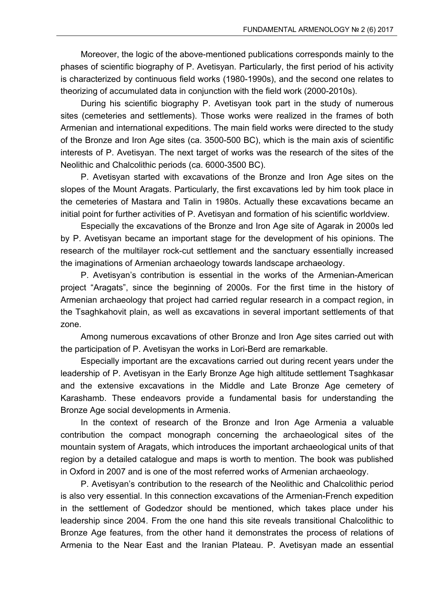Moreover, the logic of the above-mentioned publications corresponds mainly to the phases of scientific biography of P. Avetisyan. Particularly, the first period of his activity is characterized by continuous field works (1980-1990s), and the second one relates to theorizing of accumulated data in conjunction with the field work (2000-2010s).

During his scientific biography P. Avetisyan took part in the study of numerous sites (cemeteries and settlements). Those works were realized in the frames of both Armenian and international expeditions. The main field works were directed to the study of the Bronze and Iron Age sites (ca. 3500-500 BC), which is the main axis of scientific interests of P. Avetisyan. The next target of works was the research of the sites of the Neolithic and Chalcolithic periods (ca. 6000-3500 BC).

P. Avetisyan started with excavations of the Bronze and Iron Age sites on the slopes of the Mount Aragats. Particularly, the first excavations led by him took place in the cemeteries of Mastara and Talin in 1980s. Actually these excavations became an initial point for further activities of P. Avetisyan and formation of his scientific worldview.

Especially the excavations of the Bronze and Iron Age site of Agarak in 2000s led by P. Avetisyan became an important stage for the development of his opinions. The research of the multilayer rock-cut settlement and the sanctuary essentially increased the imaginations of Armenian archaeology towards landscape archaeology.

P. Avetisyan's contribution is essential in the works of the Armenian-American project "Aragats", since the beginning of 2000s. For the first time in the history of Armenian archaeology that project had carried regular research in a compact region, in the Tsaghkahovit plain, as well as excavations in several important settlements of that zone.

Among numerous excavations of other Bronze and Iron Age sites carried out with the participation of P. Avetisyan the works in Lori-Berd are remarkable.

Especially important are the excavations carried out during recent years under the leadership of P. Avetisyan in the Early Bronze Age high altitude settlement Tsaghkasar and the extensive excavations in the Middle and Late Bronze Age cemetery of Karashamb. These endeavors provide a fundamental basis for understanding the Bronze Age social developments in Armenia.

In the context of research of the Bronze and Iron Age Armenia a valuable contribution the compact monograph concerning the archaeological sites of the mountain system of Aragats, which introduces the important archaeological units of that region by a detailed catalogue and maps is worth to mention. The book was published in Oxford in 2007 and is one of the most referred works of Armenian archaeology.

P. Avetisyan's contribution to the research of the Neolithic and Chalcolithic period is also very essential. In this connection excavations of the Armenian-French expedition in the settlement of Godedzor should be mentioned, which takes place under his leadership since 2004. From the one hand this site reveals transitional Chalcolithic to Bronze Age features, from the other hand it demonstrates the process of relations of Armenia to the Near East and the Iranian Plateau. P. Avetisyan made an essential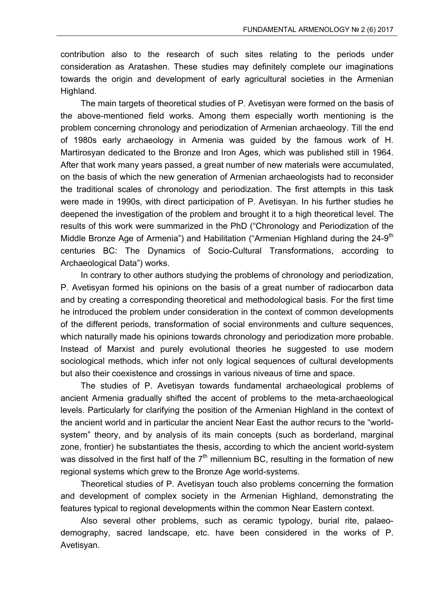contribution also to the research of such sites relating to the periods under consideration as Aratashen. These studies may definitely complete our imaginations towards the origin and development of early agricultural societies in the Armenian Highland.

The main targets of theoretical studies of P. Avetisyan were formed on the basis of the above-mentioned field works. Among them especially worth mentioning is the problem concerning chronology and periodization of Armenian archaeology. Till the end of 1980s early archaeology in Armenia was guided by the famous work of H. Martirosyan dedicated to the Bronze and Iron Ages, which was published still in 1964. After that work many years passed, a great number of new materials were accumulated, on the basis of which the new generation of Armenian archaeologists had to reconsider the traditional scales of chronology and periodization. The first attempts in this task were made in 1990s, with direct participation of P. Avetisyan. In his further studies he deepened the investigation of the problem and brought it to a high theoretical level. The results of this work were summarized in the PhD ("Chronology and Periodization of the Middle Bronze Age of Armenia") and Habilitation ("Armenian Highland during the 24-9<sup>th</sup> centuries BC: The Dynamics of Socio-Cultural Transformations, according to Archaeological Data") works.

In contrary to other authors studying the problems of chronology and periodization, P. Avetisyan formed his opinions on the basis of a great number of radiocarbon data and by creating a corresponding theoretical and methodological basis. For the first time he introduced the problem under consideration in the context of common developments of the different periods, transformation of social environments and culture sequences, which naturally made his opinions towards chronology and periodization more probable. Instead of Marxist and purely evolutional theories he suggested to use modern sociological methods, which infer not only logical sequences of cultural developments but also their coexistence and crossings in various niveaus of time and space.

The studies of P. Avetisyan towards fundamental archaeological problems of ancient Armenia gradually shifted the accent of problems to the meta-archaeological levels. Particularly for clarifying the position of the Armenian Highland in the context of the ancient world and in particular the ancient Near East the author recurs to the "worldsystem" theory, and by analysis of its main concepts (such as borderland, marginal zone, frontier) he substantiates the thesis, according to which the ancient world-system was dissolved in the first half of the  $7<sup>th</sup>$  millennium BC, resulting in the formation of new regional systems which grew to the Bronze Age world-systems.

Theoretical studies of P. Avetisyan touch also problems concerning the formation and development of complex society in the Armenian Highland, demonstrating the features typical to regional developments within the common Near Eastern context.

Also several other problems, such as ceramic typology, burial rite, palaeodemography, sacred landscape, etc. have been considered in the works of P. Avetisyan.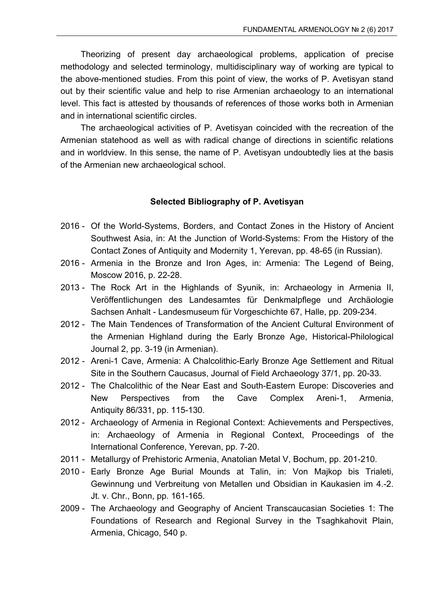Theorizing of present day archaeological problems, application of precise methodology and selected terminology, multidisciplinary way of working are typical to the above-mentioned studies. From this point of view, the works of P. Avetisyan stand out by their scientific value and help to rise Armenian archaeology to an international level. This fact is attested by thousands of references of those works both in Armenian and in international scientific circles.

The archaeological activities of P. Avetisyan coincided with the recreation of the Armenian statehood as well as with radical change of directions in scientific relations and in worldview. In this sense, the name of P. Avetisyan undoubtedly lies at the basis of the Armenian new archaeological school.

## **Selected Bibliography of P. Avetisyan**

- 2016 Of the World-Systems, Borders, and Contact Zones in the History of Ancient Southwest Asia, in: At the Junction of World-Systems: From the History of the Contact Zones of Antiquity and Modernity 1, Yerevan, pp. 48-65 (in Russian).
- 2016 Armenia in the Bronze and Iron Ages, in: Armenia: The Legend of Being, Moscow 2016, p. 22-28.
- 2013 The Rock Art in the Highlands of Syunik, in: Archaeology in Armenia II, Veröffentlichungen des Landesamtes für Denkmalpflege und Archäologie Sachsen Anhalt - Landesmuseum für Vorgeschichte 67, Halle, pp. 209-234.
- 2012 The Main Tendences of Transformation of the Ancient Cultural Environment of the Armenian Highland during the Early Bronze Age, Historical-Philological Journal 2, pp. 3-19 (in Armenian).
- 2012 Areni-1 Cave, Armenia: A Chalcolithic-Early Bronze Age Settlement and Ritual Site in the Southern Caucasus, Journal of Field Archaeology 37/1, pp. 20-33.
- 2012 The Chalcolithic of the Near East and South-Eastern Europe: Discoveries and New Perspectives from the Cave Complex Areni-1, Armenia, Antiquity 86/331, pp. 115-130.
- 2012 Archaeology of Armenia in Regional Context: Achievements and Perspectives, in: Archaeology of Armenia in Regional Context, Proceedings of the International Conference, Yerevan, pp. 7-20.
- 2011 Metallurgy of Prehistoric Armenia, Anatolian Metal V, Bochum, pp. 201-210.
- 2010 Early Bronze Age Burial Mounds at Talin, in: Von Majkop bis Trialeti, Gewinnung und Verbreitung von Metallen und Obsidian in Kaukasien im 4.-2. Jt. v. Chr., Bonn, pp. 161-165.
- 2009 The Archaeology and Geography of Ancient Transcaucasian Societies 1: The Foundations of Research and Regional Survey in the Tsaghkahovit Plain, Armenia, Chicago, 540 p.